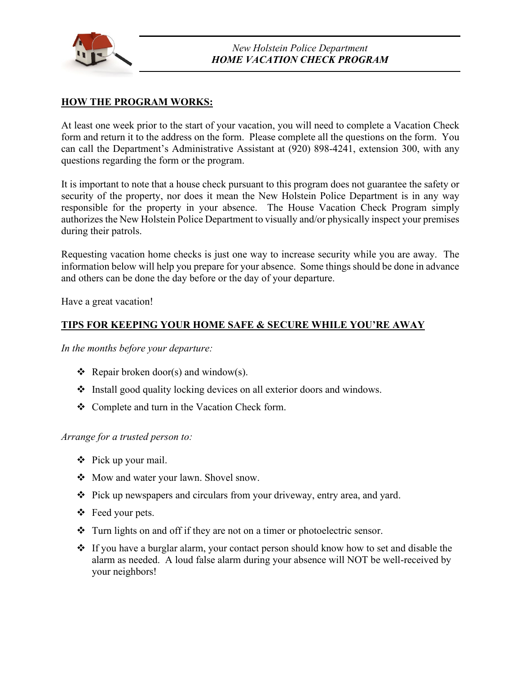

# **HOW THE PROGRAM WORKS:**

At least one week prior to the start of your vacation, you will need to complete a Vacation Check form and return it to the address on the form. Please complete all the questions on the form. You can call the Department's Administrative Assistant at (920) 898-4241, extension 300, with any questions regarding the form or the program.

It is important to note that a house check pursuant to this program does not guarantee the safety or security of the property, nor does it mean the New Holstein Police Department is in any way responsible for the property in your absence. The House Vacation Check Program simply authorizes the New Holstein Police Department to visually and/or physically inspect your premises during their patrols.

Requesting vacation home checks is just one way to increase security while you are away. The information below will help you prepare for your absence. Some things should be done in advance and others can be done the day before or the day of your departure.

Have a great vacation!

## **TIPS FOR KEEPING YOUR HOME SAFE & SECURE WHILE YOU'RE AWAY**

*In the months before your departure:*

- Repair broken door(s) and window(s).
- Install good quality locking devices on all exterior doors and windows.
- \* Complete and turn in the Vacation Check form.

*Arrange for a trusted person to:*

- $\div$  Pick up your mail.
- Mow and water your lawn. Shovel snow.
- Pick up newspapers and circulars from your driveway, entry area, and yard.
- $\div$  Feed your pets.
- $\cdot \cdot$  Turn lights on and off if they are not on a timer or photoelectric sensor.
- If you have a burglar alarm, your contact person should know how to set and disable the alarm as needed. A loud false alarm during your absence will NOT be well-received by your neighbors!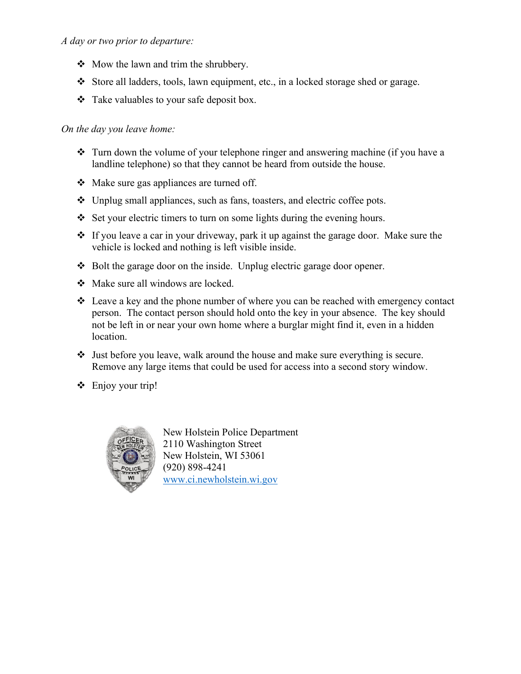### *A day or two prior to departure:*

- $\triangleleft$  Mow the lawn and trim the shrubbery.
- Store all ladders, tools, lawn equipment, etc., in a locked storage shed or garage.
- $\triangleleft$  Take valuables to your safe deposit box.

#### *On the day you leave home:*

- $\cdot$  Turn down the volume of your telephone ringer and answering machine (if you have a landline telephone) so that they cannot be heard from outside the house.
- Make sure gas appliances are turned off.
- Unplug small appliances, such as fans, toasters, and electric coffee pots.
- Set your electric timers to turn on some lights during the evening hours.
- $\cdot \cdot$  If you leave a car in your driveway, park it up against the garage door. Make sure the vehicle is locked and nothing is left visible inside.
- ◆ Bolt the garage door on the inside. Unplug electric garage door opener.
- Make sure all windows are locked.
- $\div$  Leave a key and the phone number of where you can be reached with emergency contact person. The contact person should hold onto the key in your absence. The key should not be left in or near your own home where a burglar might find it, even in a hidden location.
- Just before you leave, walk around the house and make sure everything is secure. Remove any large items that could be used for access into a second story window.
- $\div$  Enjoy your trip!



New Holstein Police Department 2110 Washington Street New Holstein, WI 53061 (920) 898-4241 [www.ci.newholstein.wi.gov](http://www.ci.newholstein.wi.gov/)